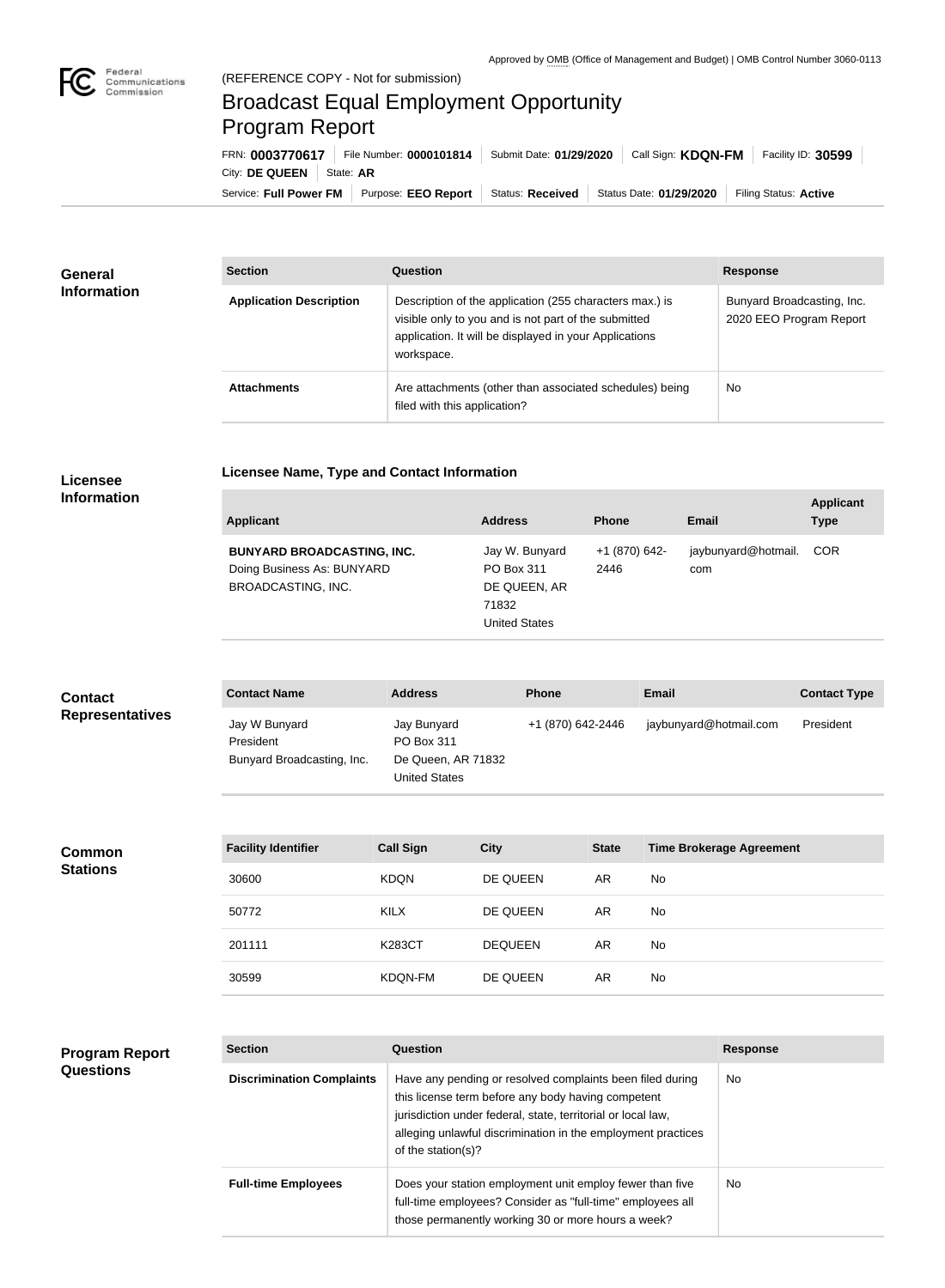

п

# Broadcast Equal Employment Opportunity Program Report

**Licensee Name, Type and Contact Information**

Service: Full Power FM Purpose: EEO Report | Status: Received | Status Date: 01/29/2020 | Filing Status: Active City: **DE QUEEN** State: AR FRN: **0003770617** File Number: **0000101814** Submit Date: **01/29/2020** Call Sign: **KDQN-FM** Facility ID: **30599**

| General<br><b>Information</b> | <b>Section</b>                 | Question                                                                                                                                                                                | <b>Response</b>                                       |
|-------------------------------|--------------------------------|-----------------------------------------------------------------------------------------------------------------------------------------------------------------------------------------|-------------------------------------------------------|
|                               | <b>Application Description</b> | Description of the application (255 characters max.) is<br>visible only to you and is not part of the submitted<br>application. It will be displayed in your Applications<br>workspace. | Bunyard Broadcasting, Inc.<br>2020 EEO Program Report |
|                               | <b>Attachments</b>             | Are attachments (other than associated schedules) being<br>filed with this application?                                                                                                 | <b>No</b>                                             |

#### **Licensee Information**

| Applicant                                                                             | <b>Address</b>                                                                | <b>Phone</b>          | <b>Email</b>               | <b>Applicant</b><br><b>Type</b> |
|---------------------------------------------------------------------------------------|-------------------------------------------------------------------------------|-----------------------|----------------------------|---------------------------------|
| <b>BUNYARD BROADCASTING, INC.</b><br>Doing Business As: BUNYARD<br>BROADCASTING, INC. | Jay W. Bunyard<br>PO Box 311<br>DE QUEEN, AR<br>71832<br><b>United States</b> | +1 (870) 642-<br>2446 | jaybunyard@hotmail.<br>com | COR                             |

| <b>Contact</b>         | <b>Contact Name</b>                                      | <b>Address</b>                                                          | <b>Phone</b>      | <b>Email</b>           | <b>Contact Type</b> |
|------------------------|----------------------------------------------------------|-------------------------------------------------------------------------|-------------------|------------------------|---------------------|
| <b>Representatives</b> | Jay W Bunyard<br>President<br>Bunyard Broadcasting, Inc. | Jay Bunyard<br>PO Box 311<br>De Queen, AR 71832<br><b>United States</b> | +1 (870) 642-2446 | jaybunyard@hotmail.com | President           |

**Common Stations**

| <b>Facility Identifier</b> | <b>Call Sign</b> | <b>City</b>    | <b>State</b> | <b>Time Brokerage Agreement</b> |
|----------------------------|------------------|----------------|--------------|---------------------------------|
| 30600                      | <b>KDQN</b>      | DE QUEEN       | AR           | <b>No</b>                       |
| 50772                      | KILX             | DE QUEEN       | AR.          | No.                             |
| 201111                     | K283CT           | <b>DEQUEEN</b> | AR.          | <b>No</b>                       |
| 30599                      | KDQN-FM          | DE QUEEN       | AR           | No.                             |

## **Program Report Questions**

| <b>Section</b>                   | Question                                                                                                                                                                                                                                                              | <b>Response</b> |
|----------------------------------|-----------------------------------------------------------------------------------------------------------------------------------------------------------------------------------------------------------------------------------------------------------------------|-----------------|
| <b>Discrimination Complaints</b> | Have any pending or resolved complaints been filed during<br>this license term before any body having competent<br>jurisdiction under federal, state, territorial or local law,<br>alleging unlawful discrimination in the employment practices<br>of the station(s)? | <b>No</b>       |
| <b>Full-time Employees</b>       | Does your station employment unit employ fewer than five<br>full-time employees? Consider as "full-time" employees all<br>those permanently working 30 or more hours a week?                                                                                          | <b>No</b>       |